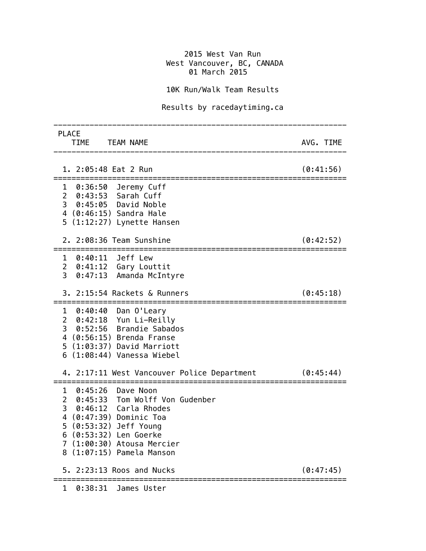## 2015 West Van Run **West Vancouver, BC, CANADA** 01 March 2015

## 10K Run/Walk Team Results

## Results by racedaytiming.ca

| <b>PLACE</b><br>TIME TEAM NAME                                                                                                                                                                                              | AVG. TIME |
|-----------------------------------------------------------------------------------------------------------------------------------------------------------------------------------------------------------------------------|-----------|
| 1. 2:05:48 Eat 2 Run                                                                                                                                                                                                        | (0:41:56) |
| 1 0:36:50 Jeremy Cuff<br>2 0:43:53 Sarah Cuff<br>3 0:45:05 David Noble<br>4 (0:46:15) Sandra Hale<br>$5$ $(1:12:27)$ Lynette Hansen                                                                                         |           |
| 2. 2:08:36 Team Sunshine                                                                                                                                                                                                    | (0:42:52) |
| 1 0:40:11 Jeff Lew<br>2 0:41:12 Gary Louttit<br>3 0:47:13 Amanda McIntyre                                                                                                                                                   |           |
| 3. 2:15:54 Rackets & Runners                                                                                                                                                                                                | (0:45:18) |
| 1 0:40:40 Dan O'Leary<br>2 0:42:18 Yun Li-Reilly<br>3 0:52:56 Brandie Sabados<br>4 (0:56:15) Brenda Franse<br>5 (1:03:37) David Marriott<br>$6$ $(1:08:44)$ Vanessa Wiebel                                                  |           |
| 4. 2:17:11 West Vancouver Police Department                                                                                                                                                                                 | (0:45:44) |
| 1 0:45:26 Dave Noon<br>2 0:45:33 Tom Wolff Von Gudenber<br>3 0:46:12 Carla Rhodes<br>4 (0:47:39) Dominic Toa<br>5 (0:53:32) Jeff Young<br>6 (0:53:32) Len Goerke<br>7 (1:00:30) Atousa Mercier<br>8 (1:07:15) Pamela Manson |           |
| 5. 2:23:13 Roos and Nucks                                                                                                                                                                                                   | (0:47:45) |
| 1 0:38:31 James Uster                                                                                                                                                                                                       |           |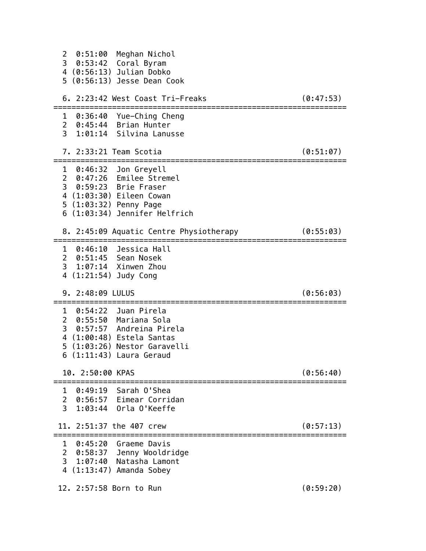| 0:51:00<br>$\overline{2}$<br>Meghan Nichol<br>3 0:53:42 Coral Byram<br>4 (0:56:13) Julian Dobko<br>5 (0:56:13) Jesse Dean Cook                                               |           |
|------------------------------------------------------------------------------------------------------------------------------------------------------------------------------|-----------|
| 6. 2:23:42 West Coast Tri-Freaks                                                                                                                                             | (0:47:53) |
| 1 0:36:40 Yue-Ching Cheng<br>2 0:45:44 Brian Hunter<br>1:01:14 Silvina Lanusse<br>3 <sup>7</sup>                                                                             |           |
| 7. 2:33:21 Team Scotia                                                                                                                                                       | (0:51:07) |
| $1 \quad 0:46:32$<br>Jon Greyell<br>2 0:47:26 Emilee Stremel<br>3 0:59:23 Brie Fraser<br>4 (1:03:30) Eileen Cowan<br>5 (1:03:32) Penny Page<br>6 (1:03:34) Jennifer Helfrich |           |
| 8. 2:45:09 Aquatic Centre Physiotherapy                                                                                                                                      | (0:55:03) |
| 1 0:46:10 Jessica Hall<br>2 0:51:45 Sean Nosek<br>3 1:07:14 Xinwen Zhou<br>4 (1:21:54) Judy Cong                                                                             |           |
| 9. 2:48:09 LULUS                                                                                                                                                             | (0:56:03) |
| 1 0:54:22 Juan Pirela<br>2 0:55:50 Mariana Sola<br>3 0:57:57 Andreina Pirela<br>4 (1:00:48) Estela Santas<br>5 (1:03:26) Nestor Garavelli<br>6 (1:11:43) Laura Geraud        |           |
| 10. 2:50:00 KPAS                                                                                                                                                             | (0:56:40) |
| 0:49:19 Sarah 0'Shea<br>1<br>2 0:56:57 Eimear Corridan<br>$\overline{3}$<br>1:03:44 Orla O'Keeffe                                                                            |           |
| 11, 2:51:37 the 407 crew                                                                                                                                                     | (0:57:13) |
| 0:45:20<br>1<br>Graeme Davis<br>$\overline{2}$<br>0:58:37 Jenny Wooldridge<br>31:07:40<br>Natasha Lamont<br>4 (1:13:47) Amanda Sobey                                         |           |
| 12. 2:57:58 Born to Run                                                                                                                                                      | (0:59:20) |